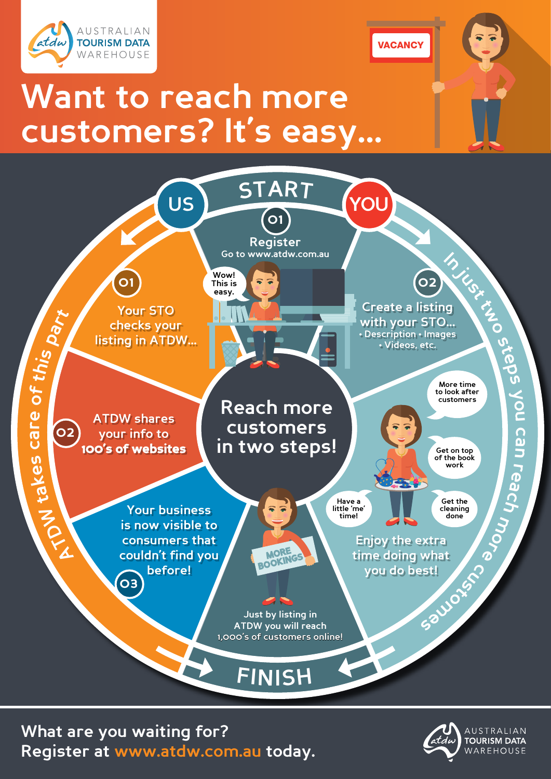

**Want to reach more customers? It's easy...**



**VACANCY** 

**What are you waiting for? Register at [www.atdw.com.au](http://www.atdw.com.au) today.**